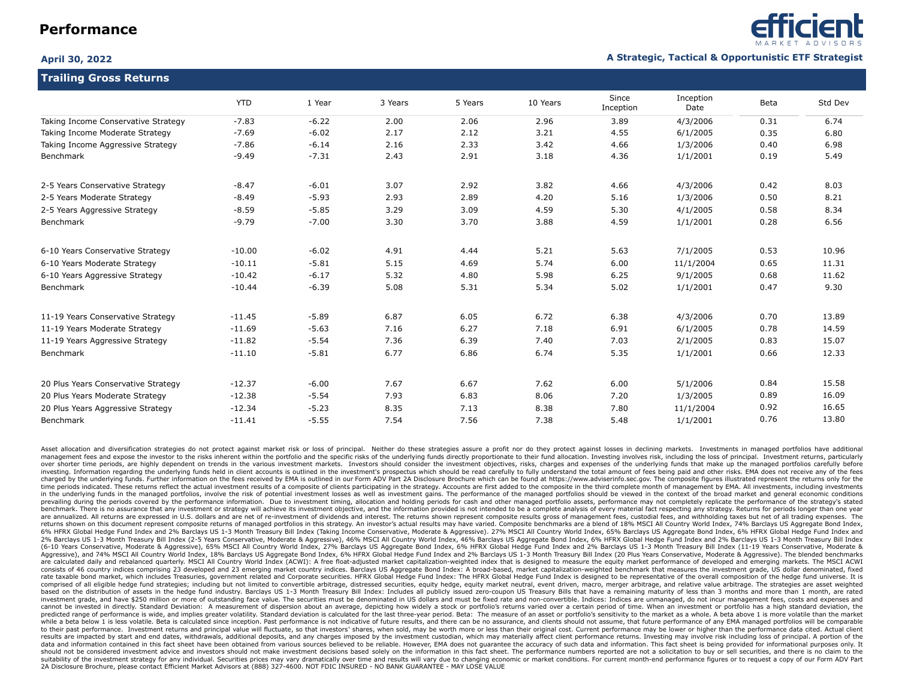**Trailing Gross Returns**



### **April 30, 2022 A Strategic, Tactical & Opportunistic ETF Strategist**

|                                     | <b>YTD</b> | 1 Year  | 3 Years | 5 Years | 10 Years | Since<br>Inception | Inception<br>Date | Beta | Std Dev |  |
|-------------------------------------|------------|---------|---------|---------|----------|--------------------|-------------------|------|---------|--|
| Taking Income Conservative Strategy | $-7.83$    | $-6.22$ | 2.00    | 2.06    | 2.96     | 3.89               | 4/3/2006          | 0.31 | 6.74    |  |
| Taking Income Moderate Strategy     | $-7.69$    | $-6.02$ | 2.17    | 2.12    | 3.21     | 4.55               | 6/1/2005          | 0.35 | 6.80    |  |
| Taking Income Aggressive Strategy   | $-7.86$    | $-6.14$ | 2.16    | 2.33    | 3.42     | 4.66               | 1/3/2006          | 0.40 | 6.98    |  |
| Benchmark                           | $-9.49$    | $-7.31$ | 2.43    | 2.91    | 3.18     | 4.36               | 1/1/2001          | 0.19 | 5.49    |  |
| 2-5 Years Conservative Strategy     | $-8.47$    | $-6.01$ | 3.07    | 2.92    | 3.82     | 4.66               | 4/3/2006          | 0.42 | 8.03    |  |
| 2-5 Years Moderate Strategy         | $-8.49$    | $-5.93$ | 2.93    | 2.89    | 4.20     | 5.16               | 1/3/2006          | 0.50 | 8.21    |  |
| 2-5 Years Aggressive Strategy       | $-8.59$    | $-5.85$ | 3.29    | 3.09    | 4.59     | 5.30               | 4/1/2005          | 0.58 | 8.34    |  |
| Benchmark                           | $-9.79$    | $-7.00$ | 3.30    | 3.70    | 3.88     | 4.59               | 1/1/2001          | 0.28 | 6.56    |  |
| 6-10 Years Conservative Strategy    | $-10.00$   | $-6.02$ | 4.91    | 4.44    | 5.21     | 5.63               | 7/1/2005          | 0.53 | 10.96   |  |
| 6-10 Years Moderate Strategy        | $-10.11$   | $-5.81$ | 5.15    | 4.69    | 5.74     | 6.00               | 11/1/2004         | 0.65 | 11.31   |  |
| 6-10 Years Aggressive Strategy      | $-10.42$   | $-6.17$ | 5.32    | 4.80    | 5.98     | 6.25               | 9/1/2005          | 0.68 | 11.62   |  |
| Benchmark                           | $-10.44$   | $-6.39$ | 5.08    | 5.31    | 5.34     | 5.02               | 1/1/2001          | 0.47 | 9.30    |  |
| 11-19 Years Conservative Strategy   | $-11.45$   | $-5.89$ | 6.87    | 6.05    | 6.72     | 6.38               | 4/3/2006          | 0.70 | 13.89   |  |
| 11-19 Years Moderate Strategy       | $-11.69$   | $-5.63$ | 7.16    | 6.27    | 7.18     | 6.91               | 6/1/2005          | 0.78 | 14.59   |  |
| 11-19 Years Aggressive Strategy     | $-11.82$   | $-5.54$ | 7.36    | 6.39    | 7.40     | 7.03               | 2/1/2005          | 0.83 | 15.07   |  |
| <b>Benchmark</b>                    | $-11.10$   | $-5.81$ | 6.77    | 6.86    | 6.74     | 5.35               | 1/1/2001          | 0.66 | 12.33   |  |
| 20 Plus Years Conservative Strategy | $-12.37$   | $-6.00$ | 7.67    | 6.67    | 7.62     | 6.00               | 5/1/2006          | 0.84 | 15.58   |  |
| 20 Plus Years Moderate Strategy     | $-12.38$   | $-5.54$ | 7.93    | 6.83    | 8.06     | 7.20               | 1/3/2005          | 0.89 | 16.09   |  |
| 20 Plus Years Aggressive Strategy   | $-12.34$   | $-5.23$ | 8.35    | 7.13    | 8.38     | 7.80               | 11/1/2004         | 0.92 | 16.65   |  |
| Benchmark                           | $-11.41$   | $-5.55$ | 7.54    | 7.56    | 7.38     | 5.48               | 1/1/2001          | 0.76 | 13.80   |  |

Asset allocation and diversification strategies do not protect against market risk or loss of principal. Neither do these strategies assure a profit nor do they protect against losses in declining markets. Investments in m management fees and expose the investor to the risks inherent within the portfolio and the specific risks of the underlying funds directly proportionate to their fund allocation. Investing involves risk, including the loss over shorter time periods, are highly dependent on trends in the various investment markets. Investors should consider the investment objectives, risks, charges and expenses of the underlying funds that make up the managed investing. Information regarding the underlying funds held in client accounts is outlined in the investment's prospectus which should be read carefully to fully understand the total amount of fees being paid and other risk charged by the underlying funds. Further information on the fees received by EMA is outlined in our Form ADV Part 2A Disclosure Brochure which can be found at https://www.adviserinfo.sec.gov. The composite figures illustra time periods indicated. These returns reflect the actual investment results of a composite of clients participating in the strategy. Accounts are first added to the composite in the third complete month of management by EM in the underlying funds in the managed portfolios, involve the risk of potential investment losses as well as investment gains. The performance of the managed portfolios should be viewed in the context of the broad market prevailing during the periods covered by the performance information. Due to investment timing, allocation and holding periods for cash and other managed portfolio assets, performance may not completely replicate the perfo benchmark. There is no assurance that any investment or strategy will achieve its investment objective, and the information provided is not intended to be a complete analysis of every material fact respecting any strategy. are annualized. All returns are expressed in U.S. dollars and are net of re-investment of dividends and interest. The returns shown represent composite results gross of management fees, custodial fees, and withholding taxe returns shown on this document represent composite returns of managed portfolios in this strategy. An investor's actual results may have varied. Composite benchmarks are a blend of 18% MSCI All Country World Index, 74% Bar 6% HFRX Global Hedge Fund Index and 2% Barclays US 1-3 Month Treasury Bill Index (Taking Income Conservative, Moderate & Aggressive). 27% MSCI All Country World Index, 65% Barclays US Aggregate Bond Index, 6% HFRX Global H 2% Barclays US 1-3 Month Treasury Bill Index (2-5 Years Conservative, Moderate & Aggressive), 46% MSCI All Country World Index, 46% Barclays US Aggregate Bond Index, 6% HFRX Global Hedge Fund Index and 2% Barclays US 1-3 M (6-10 Years Conservative, Moderate & Aggressive), 65% MSCI All Country World Index, 27% Barclays US Aggregate Bond Index, 6% HFRX Global Hedge Fund Index and 2% Barclays US 1-3 Month Treasury Bill Index (11-19 Years Conser Aggressive), and 74% MSCI All Country World Index, 18% Barclays US Aggregate Bond Index, 6% HFRX Global Hedge Fund Index and 2% Barclays US 1-3 Month Treasury Bill Index (20 Plus Years Conservative, Moderate & Aggressive). are calculated daily and rebalanced quarterly. MSCI All Country World Index (ACWI): A free float-adjusted market capitalization-weighted index that is designed to measure the equity market performance of developed and emer consists of 46 country indices comprising 23 developed and 23 emerging market country indices. Barclays US Aggregate Bond Index: A broad-based, market capitalization-weighted benchmark that measures the investment grade, U rate taxable bond market, which includes Treasuries, government related and Corporate securities. HFRX Global Hedge Fund Index: The HFRX Global Hedge Fund Index is designed to be representative of the overall composition o comprised of all eligible hedge fund strategies; including but not limited to convertible arbitrage, distressed securities, equity hedge, equity market neutral, event driven, macro, merger arbitrage, and relative value arb based on the distribution of assets in the hedge fund industry. Barclays US 1-3 Month Treasury Bill Index: Includes all publicly issued zero-coupon US Treasury Bills that have a remaining maturity of less than 3 months and investment grade, and have \$250 million or more of outstanding face value. The securities must be denominated in US dollars and must be fixed rate and non-convertible. Indices: Indices: Indices are unmanaged, do not incur cannot be invested in directly. Standard Deviation: A measurement of dispersion about an average, depicting how widely a stock or portfolio's returns varied over a certain period of time. When an investment or portfolio ha predicted range of performance is wide, and implies greater volatility. Standard deviation is calculated for the last three-year period. Beta: The measure of an asset or portfolio's sensitivity to the market as a whole. A while a beta below 1 is less volatile. Beta is calculated since inception. Past performance is not indicative of future results, and there can be no assurance, and clients should not assume, that future performance of any to their past performance. Investment returns and principal value will fluctuate, so that investors' shares, when sold, may be worth more or less than their original cost. Current performance may be lower or higher than th results are impacted by start and end dates, withdrawals, additional deposits, and any charges imposed by the investment custodian, which may materially affect client performance returns. Investing may involve risk includi data and information contained in this fact sheet have been obtained from various sources believed to be reliable. However, EMA does not quarantee the accuracy of such data and information. This fact sheet is being provide should not be considered investment advice and investors should not make investment decisions based solely on the information in this fact sheet. The performance numbers reported are not a solicitation to buy or sell secur suitability of the investment strategy for any individual. Securities prices may vary dramatically over time and results will vary due to changing economic or market conditions. For current month-end performance figures or 2A Disclosure Brochure, please contact Efficient Market Advisors at (888) 327-4600. NOT FDIC INSURED - NO BANK GUARANTEE - MAY LOSE VALUE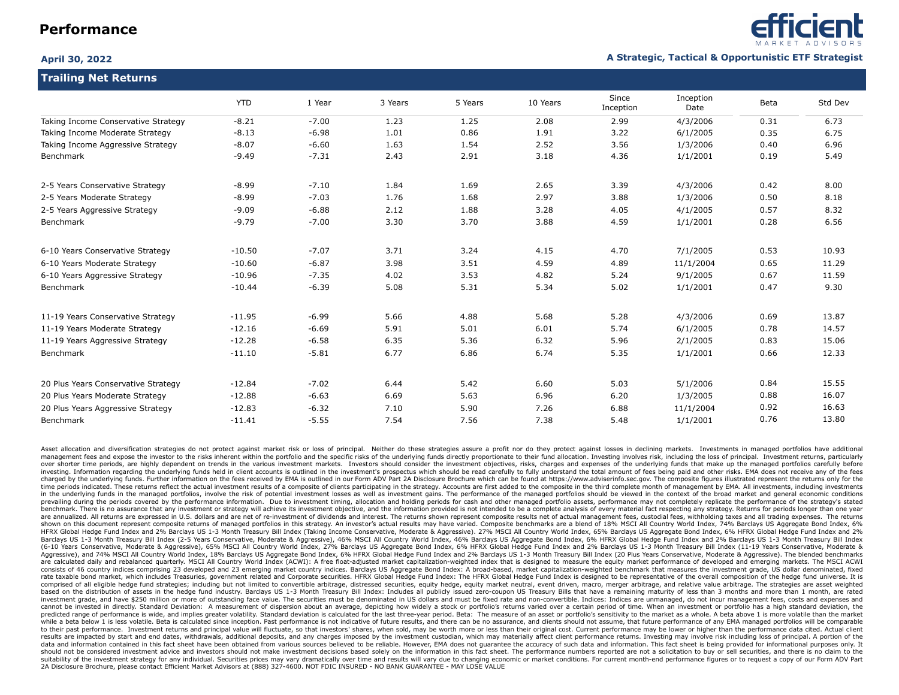**Trailing Net Returns**



### **April 30, 2022 A Strategic, Tactical & Opportunistic ETF Strategist**

| <b>THAIRING NET INCONTRIB</b>       |            |         |         |         |          |                    |                   |      |         |  |
|-------------------------------------|------------|---------|---------|---------|----------|--------------------|-------------------|------|---------|--|
|                                     | <b>YTD</b> | 1 Year  | 3 Years | 5 Years | 10 Years | Since<br>Inception | Inception<br>Date | Beta | Std Dev |  |
| Taking Income Conservative Strategy | $-8.21$    | $-7.00$ | 1.23    | 1.25    | 2.08     | 2.99               | 4/3/2006          | 0.31 | 6.73    |  |
| Taking Income Moderate Strategy     | $-8.13$    | $-6.98$ | 1.01    | 0.86    | 1.91     | 3.22               | 6/1/2005          | 0.35 | 6.75    |  |
| Taking Income Aggressive Strategy   | $-8.07$    | $-6.60$ | 1.63    | 1.54    | 2.52     | 3.56               | 1/3/2006          | 0.40 | 6.96    |  |
| Benchmark                           | $-9.49$    | $-7.31$ | 2.43    | 2.91    | 3.18     | 4.36               | 1/1/2001          | 0.19 | 5.49    |  |
| 2-5 Years Conservative Strategy     | $-8.99$    | $-7.10$ | 1.84    | 1.69    | 2.65     | 3.39               | 4/3/2006          | 0.42 | 8.00    |  |
| 2-5 Years Moderate Strategy         | $-8.99$    | $-7.03$ | 1.76    | 1.68    | 2.97     | 3.88               | 1/3/2006          | 0.50 | 8.18    |  |
| 2-5 Years Aggressive Strategy       | $-9.09$    | $-6.88$ | 2.12    | 1.88    | 3.28     | 4.05               | 4/1/2005          | 0.57 | 8.32    |  |
| Benchmark                           | $-9.79$    | $-7.00$ | 3.30    | 3.70    | 3.88     | 4.59               | 1/1/2001          | 0.28 | 6.56    |  |
| 6-10 Years Conservative Strategy    | $-10.50$   | $-7.07$ | 3.71    | 3.24    | 4.15     | 4.70               | 7/1/2005          | 0.53 | 10.93   |  |
| 6-10 Years Moderate Strategy        | $-10.60$   | $-6.87$ | 3.98    | 3.51    | 4.59     | 4.89               | 11/1/2004         | 0.65 | 11.29   |  |
| 6-10 Years Aggressive Strategy      | $-10.96$   | $-7.35$ | 4.02    | 3.53    | 4.82     | 5.24               | 9/1/2005          | 0.67 | 11.59   |  |
| Benchmark                           | $-10.44$   | $-6.39$ | 5.08    | 5.31    | 5.34     | 5.02               | 1/1/2001          | 0.47 | 9.30    |  |
| 11-19 Years Conservative Strategy   | $-11.95$   | $-6.99$ | 5.66    | 4.88    | 5.68     | 5.28               | 4/3/2006          | 0.69 | 13.87   |  |
| 11-19 Years Moderate Strategy       | $-12.16$   | $-6.69$ | 5.91    | 5.01    | 6.01     | 5.74               | 6/1/2005          | 0.78 | 14.57   |  |
| 11-19 Years Aggressive Strategy     | $-12.28$   | $-6.58$ | 6.35    | 5.36    | 6.32     | 5.96               | 2/1/2005          | 0.83 | 15.06   |  |
| Benchmark                           | $-11.10$   | $-5.81$ | 6.77    | 6.86    | 6.74     | 5.35               | 1/1/2001          | 0.66 | 12.33   |  |
| 20 Plus Years Conservative Strategy | $-12.84$   | $-7.02$ | 6.44    | 5.42    | 6.60     | 5.03               | 5/1/2006          | 0.84 | 15.55   |  |
| 20 Plus Years Moderate Strategy     | $-12.88$   | $-6.63$ | 6.69    | 5.63    | 6.96     | 6.20               | 1/3/2005          | 0.88 | 16.07   |  |
| 20 Plus Years Aggressive Strategy   | $-12.83$   | $-6.32$ | 7.10    | 5.90    | 7.26     | 6.88               | 11/1/2004         | 0.92 | 16.63   |  |
| Benchmark                           | $-11.41$   | $-5.55$ | 7.54    | 7.56    | 7.38     | 5.48               | 1/1/2001          | 0.76 | 13.80   |  |

Asset allocation and diversification strategies do not protect against market risk or loss of principal. Neither do these strategies assure a profit nor do they protect against losses in declining markets. Investments in m management fees and expose the investor to the risks inherent within the portfolio and the specific risks of the underlying funds directly proportionate to their fund allocation. Investing involves risk, including the loss over shorter time periods, are highly dependent on trends in the various investment markets. Investors should consider the investment objectives, risks, charges and expenses of the underlying funds that make up the managed investing. Information regarding the underlying funds held in client accounts is outlined in the investment's prospectus which should be read carefully to fully understand the total amount of fees being paid and other risk charged by the underlying funds. Further information on the fees received by EMA is outlined in our Form ADV Part 2A Disclosure Brochure which can be found at https://www.adviserinfo.sec.gov. The composite figures illustra time periods indicated. These returns reflect the actual investment results of a composite of clients participating in the strategy. Accounts are first added to the composite in the third complete month of management by EM in the underlying funds in the managed portfolios, involve the risk of potential investment losses as well as investment gains. The performance of the managed portfolios should be viewed in the context of the broad market prevailing during the periods covered by the performance information. Due to investment timing, allocation and holding periods for cash and other managed portfolio assets, performance may not completely replicate the perfo benchmark. There is no assurance that any investment or strategy will achieve its investment objective, and the information provided is not intended to be a complete analysis of every material fact respecting any strategy. are annualized. All returns are expressed in U.S. dollars and are net of re-investment of dividends and interest. The returns shown represent composite results net of actual management fees, custodial fees, withholding tax shown on this document represent composite returns of managed portfolios in this strategy. An investor's actual results may have varied. Composite benchmarks are a blend of 18% MSCI All Country World Index, 74% Barclays US HFRX Global Hedge Fund Index and 2% Barclays US 1-3 Month Treasury Bill Index (Taking Income Conservative, Moderate & Aggressive). 27% MSCI All Country World Index, 65% Barclays US Aggregate Bond Index, 6% HFRX Global Hedg Barclays US 1-3 Month Treasury Bill Index (2-5 Years Conservative, Moderate & Aggressive), 46% MSCI All Country World Index, 46% Barclays US Aggregate Bond Index, 6% HFRX Global Hedge Fund Index and 2% Barclays US 1-3 Mont (6-10 Years Conservative, Moderate & Aggressive), 65% MSCI All Country World Index, 27% Barclays US Aggregate Bond Index, 6% HFRX Global Hedge Fund Index and 2% Barclays US 1-3 Month Treasury Bill Index (11-19 Years Conser Aggressive), and 74% MSCI All Country World Index, 18% Barclays US Aggregate Bond Index, 6% HFRX Global Hedge Fund Index and 2% Barclays US 1-3 Month Treasury Bill Index (20 Plus Years Conservative, Moderate & Aggressive), are calculated daily and rebalanced quarterly. MSCI All Country World Index (ACWI): A free float-adjusted market capitalization-weighted index that is designed to measure the equity market performance of developed and emer consists of 46 country indices comprising 23 developed and 23 emerging market country indices. Barclays US Aggregate Bond Index: A broad-based, market capitalization-weighted benchmark that measures the investment grade, U rate taxable bond market, which includes Treasuries, government related and Corporate securities. HFRX Global Hedge Fund Index: The HFRX Global Hedge Fund Index is designed to be representative of the overall composition o comprised of all eligible hedge fund strategies; including but not limited to convertible arbitrage, distressed securities, equity hedge, equity market neutral, event driven, macro, merger arbitrage, and relative value arb based on the distribution of assets in the hedge fund industry. Barclays US 1-3 Month Treasury Bill Index: Includes all publicly issued zero-coupon US Treasury Bills that have a remaining maturity of less than 3 months and investment grade, and have \$250 million or more of outstanding face value. The securities must be denominated in US dollars and must be fixed rate and non-convertible. Indices: Indices: Indices are unmanaged, do not incur cannot be invested in directly. Standard Deviation: A measurement of dispersion about an average, depicting how widely a stock or portfolio's returns varied over a certain period of time. When an investment or portfolio ha predicted range of performance is wide, and implies greater volatility. Standard deviation is calculated for the last three-year period. Beta: The measure of an asset or portfolio's sensitivity to the market as a whole. A while a beta below 1 is less volatile. Beta is calculated since inception. Past performance is not indicative of future results, and there can be no assurance, and clients should not assume, that future performance of any to their past performance. Investment returns and principal value will fluctuate, so that investors' shares, when sold, may be worth more or less than their original cost. Current performance may be lower or higher than th results are impacted by start and end dates, withdrawals, additional deposits, and any charges imposed by the investment custodian, which may materially affect client performance returns. Investing may involve risk includi data and information contained in this fact sheet have been obtained from various sources believed to be reliable. However, EMA does not quarantee the accuracy of such data and information. This fact sheet is being provide should not be considered investment advice and investors should not make investment decisions based solely on the information in this fact sheet. The performance numbers reported are not a solicitation to buy or sell secur suitability of the investment strategy for any individual. Securities prices may vary dramatically over time and results will vary due to changing economic or market conditions. For current month-end performance figures or 2A Disclosure Brochure, please contact Efficient Market Advisors at (888) 327-4600. NOT FDIC INSURED - NO BANK GUARANTEE - MAY LOSE VALUE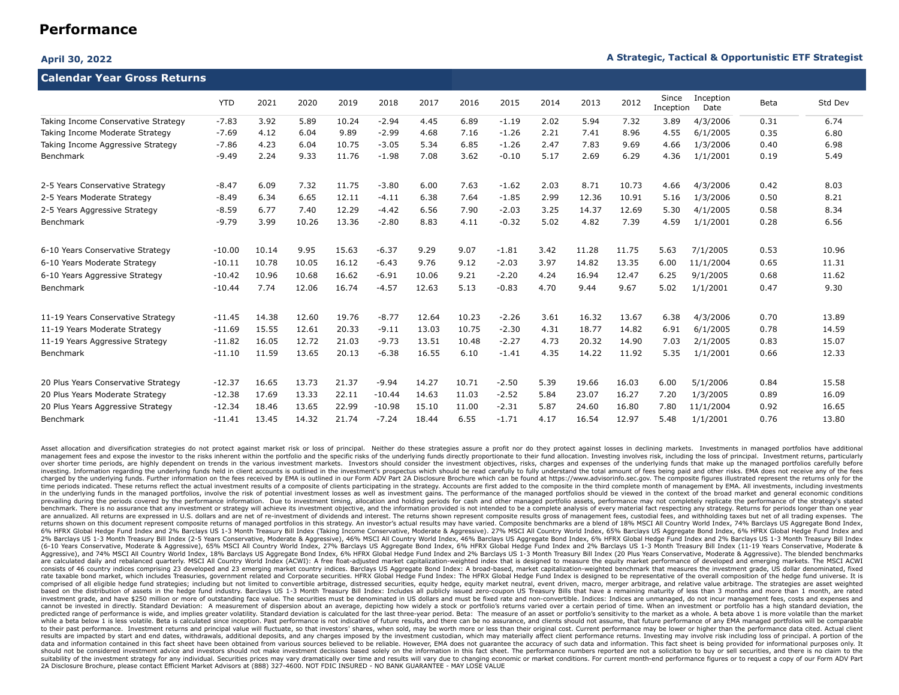### **April 30, 2022 A Strategic, Tactical & Opportunistic ETF Strategist**

| Calendar Year Gross Returns         |            |       |       |       |          |       |       |         |      |       |       |                    |                   |      |         |
|-------------------------------------|------------|-------|-------|-------|----------|-------|-------|---------|------|-------|-------|--------------------|-------------------|------|---------|
|                                     | <b>YTD</b> | 2021  | 2020  | 2019  | 2018     | 2017  | 2016  | 2015    | 2014 | 2013  | 2012  | Since<br>Inception | Inception<br>Date | Beta | Std Dev |
| Taking Income Conservative Strategy | $-7.83$    | 3.92  | 5.89  | 10.24 | $-2.94$  | 4.45  | 6.89  | $-1.19$ | 2.02 | 5.94  | 7.32  | 3.89               | 4/3/2006          | 0.31 | 6.74    |
| Taking Income Moderate Strategy     | $-7.69$    | 4.12  | 6.04  | 9.89  | $-2.99$  | 4.68  | 7.16  | $-1.26$ | 2.21 | 7.41  | 8.96  | 4.55               | 6/1/2005          | 0.35 | 6.80    |
| Taking Income Aggressive Strategy   | $-7.86$    | 4.23  | 6.04  | 10.75 | $-3.05$  | 5.34  | 6.85  | $-1.26$ | 2.47 | 7.83  | 9.69  | 4.66               | 1/3/2006          | 0.40 | 6.98    |
| Benchmark                           | $-9.49$    | 2.24  | 9.33  | 11.76 | $-1.98$  | 7.08  | 3.62  | $-0.10$ | 5.17 | 2.69  | 6.29  | 4.36               | 1/1/2001          | 0.19 | 5.49    |
| 2-5 Years Conservative Strategy     | $-8.47$    | 6.09  | 7.32  | 11.75 | $-3.80$  | 6.00  | 7.63  | $-1.62$ | 2.03 | 8.71  | 10.73 | 4.66               | 4/3/2006          | 0.42 | 8.03    |
| 2-5 Years Moderate Strategy         | $-8.49$    | 6.34  | 6.65  | 12.11 | $-4.11$  | 6.38  | 7.64  | $-1.85$ | 2.99 | 12.36 | 10.91 | 5.16               | 1/3/2006          | 0.50 | 8.21    |
| 2-5 Years Aggressive Strategy       | $-8.59$    | 6.77  | 7.40  | 12.29 | $-4.42$  | 6.56  | 7.90  | $-2.03$ | 3.25 | 14.37 | 12.69 | 5.30               | 4/1/2005          | 0.58 | 8.34    |
| Benchmark                           | $-9.79$    | 3.99  | 10.26 | 13.36 | $-2.80$  | 8.83  | 4.11  | $-0.32$ | 5.02 | 4.82  | 7.39  | 4.59               | 1/1/2001          | 0.28 | 6.56    |
| 6-10 Years Conservative Strategy    | $-10.00$   | 10.14 | 9.95  | 15.63 | $-6.37$  | 9.29  | 9.07  | $-1.81$ | 3.42 | 11.28 | 11.75 | 5.63               | 7/1/2005          | 0.53 | 10.96   |
| 6-10 Years Moderate Strategy        | $-10.11$   | 10.78 | 10.05 | 16.12 | $-6.43$  | 9.76  | 9.12  | $-2.03$ | 3.97 | 14.82 | 13.35 | 6.00               | 11/1/2004         | 0.65 | 11.31   |
| 6-10 Years Aggressive Strategy      | $-10.42$   | 10.96 | 10.68 | 16.62 | $-6.91$  | 10.06 | 9.21  | $-2.20$ | 4.24 | 16.94 | 12.47 | 6.25               | 9/1/2005          | 0.68 | 11.62   |
| Benchmark                           | $-10.44$   | 7.74  | 12.06 | 16.74 | $-4.57$  | 12.63 | 5.13  | $-0.83$ | 4.70 | 9.44  | 9.67  | 5.02               | 1/1/2001          | 0.47 | 9.30    |
| 11-19 Years Conservative Strategy   | $-11.45$   | 14.38 | 12.60 | 19.76 | $-8.77$  | 12.64 | 10.23 | $-2.26$ | 3.61 | 16.32 | 13.67 | 6.38               | 4/3/2006          | 0.70 | 13.89   |
| 11-19 Years Moderate Strategy       | $-11.69$   | 15.55 | 12.61 | 20.33 | $-9.11$  | 13.03 | 10.75 | $-2.30$ | 4.31 | 18.77 | 14.82 | 6.91               | 6/1/2005          | 0.78 | 14.59   |
| 11-19 Years Aggressive Strategy     | $-11.82$   | 16.05 | 12.72 | 21.03 | $-9.73$  | 13.51 | 10.48 | $-2.27$ | 4.73 | 20.32 | 14.90 | 7.03               | 2/1/2005          | 0.83 | 15.07   |
| Benchmark                           | $-11.10$   | 11.59 | 13.65 | 20.13 | $-6.38$  | 16.55 | 6.10  | $-1.41$ | 4.35 | 14.22 | 11.92 | 5.35               | 1/1/2001          | 0.66 | 12.33   |
| 20 Plus Years Conservative Strategy | $-12.37$   | 16.65 | 13.73 | 21.37 | $-9.94$  | 14.27 | 10.71 | $-2.50$ | 5.39 | 19.66 | 16.03 | 6.00               | 5/1/2006          | 0.84 | 15.58   |
| 20 Plus Years Moderate Strategy     | $-12.38$   | 17.69 | 13.33 | 22.11 | $-10.44$ | 14.63 | 11.03 | $-2.52$ | 5.84 | 23.07 | 16.27 | 7.20               | 1/3/2005          | 0.89 | 16.09   |
| 20 Plus Years Aggressive Strategy   | $-12.34$   | 18.46 | 13.65 | 22.99 | $-10.98$ | 15.10 | 11.00 | $-2.31$ | 5.87 | 24.60 | 16.80 | 7.80               | 11/1/2004         | 0.92 | 16.65   |
| Benchmark                           | $-11.41$   | 13.45 | 14.32 | 21.74 | $-7.24$  | 18.44 | 6.55  | $-1.71$ | 4.17 | 16.54 | 12.97 | 5.48               | 1/1/2001          | 0.76 | 13.80   |

Asset allocation and diversification strategies do not protect against market risk or loss of principal. Neither do these strategies assure a profit nor do they protect against losses in declining markets. Investments in m management fees and expose the investor to the risks inherent within the portfolio and the specific risks of the underlying funds directly proportionate to their fund allocation. Investing involves risk, including the loss over shorter time periods, are highly dependent on trends in the various investment markets. Investors should consider the investment objectives, risks, charges and expenses of the underlying funds that make up the managed investing. Information regarding the underlying funds held in client accounts is outlined in the investment's prospectus which should be read carefully to fully understand the total amount of fees being paid and other risk charged by the underlying funds. Further information on the fees received by EMA is outlined in our Form ADV Part 2A Disclosure Brochure which can be found at https://www.advisorinfo.sec.gov. The composite figures illustra time periods indicated. These returns reflect the actual investment results of a composite of clients participating in the strategy. Accounts are first added to the composite in the third complete month of management by EM in the underlying funds in the managed portfolios, involve the risk of potential investment losses as well as investment gains. The performance of the managed portfolios should be viewed in the context of the broad market prevailing during the periods covered by the performance information. Due to investment timing, allocation and holding periods for cash and other managed portfolio assets, performance may not completely replicate the perfo benchmark. There is no assurance that any investment or strategy will achieve its investment objective, and the information provided is not intended to be a complete analysis of every material fact respecting any strategy. are annualized. All returns are expressed in U.S. dollars and are net of re-investment of dividends and interest. The returns shown represent composite results gross of management fees, custodial fees, and withholding taxe returns shown on this document represent composite returns of managed portfolios in this strategy. An investor's actual results may have varied. Composite benchmarks are a blend of 18% MSCI All Country World Index, 74% Bar 6% HFRX Global Hedge Fund Index and 2% Barclays US 1-3 Month Treasury Bill Index (Taking Income Conservative, Moderate & Aggressive). 27% MSCI All Country World Index, 65% Barclays US Aggregate Bond Index, 6% HFRX Global H 2% Barclays US 1-3 Month Treasury Bill Index (2-5 Years Conservative, Moderate & Aggressive), 46% MSCI All Country World Index, 46% Barclays US Aggregate Bond Index, 6% HFRX Global Hedge Fund Index and 2% Barclays US 1-3 M (6-10 Years Conservative, Moderate & Aggressive), 65% MSCI All Country World Index, 27% Barclays US Aggregate Bond Index, 6% HFRX Global Hedge Fund Index and 2% Barclays US 1-3 Month Treasury Bill Index (11-19 Years Conser Aggressive), and 74% MSCI All Country World Index, 18% Barclays US Aggregate Bond Index, 6% HFRX Global Hedge Fund Index and 2% Barclays US 1-3 Month Treasury Bill Index (20 Plus Years Conservative, Moderate & Aggressive). are calculated daily and rebalanced quarterly. MSCI All Country World Index (ACWI): A free float-adjusted market capitalization-weighted index that is designed to measure the equity market performance of developed and emer consists of 46 country indices comprising 23 developed and 23 emerging market country indices. Barclays US Aggregate Bond Index: A broad-based, market capitalization-weighted benchmark that measures the investment grade, U rate taxable bond market, which includes Treasuries, government related and Corporate securities. HFRX Global Hedge Fund Index: The HFRX Global Hedge Fund Index is designed to be representative of the overall composition o comprised of all eligible hedge fund strategies; including but not limited to convertible arbitrage, distressed securities, equity hedge, equity market neutral, event driven, macro, merger arbitrage, and relative value arb based on the distribution of assets in the hedge fund industry. Barclays US 1-3 Month Treasury Bill Index: Includes all publicly issued zero-coupon US Treasury Bills that have a remaining maturity of less than 3 months and investment grade, and have \$250 million or more of outstanding face value. The securities must be denominated in US dollars and must be fixed rate and non-convertible. Indices: Indices: Indices are unmanaged, do not incur cannot be invested in directly. Standard Deviation: A measurement of dispersion about an average, depicting how widely a stock or portfolio's returns varied over a certain period of time. When an investment or portfolio ha predicted range of performance is wide, and implies greater volatility. Standard deviation is calculated for the last three-year period. Beta: The measure of an asset or portfolio's sensitivity to the market as a whole. A while a beta below 1 is less volatile. Beta is calculated since inception. Past performance is not indicative of future results, and there can be no assurance, and clients should not assume, that future performance of any to their past performance. Investment returns and principal value will fluctuate, so that investors' shares, when sold, may be worth more or less than their original cost. Current performance may be lower or higher than th results are impacted by start and end dates, withdrawals, additional deposits, and any charges imposed by the investment custodian, which may materially affect client performance returns. Investing may involve risk includi data and information contained in this fact sheet have been obtained from various sources believed to be reliable. However, EMA does not guarantee the accuracy of such data and information. This fact sheet is being provide should not be considered investment advice and investors should not make investment decisions based solely on the information in this fact sheet. The performance numbers reported are not a solicitation to buy or sell secur suitability of the investment strategy for any individual. Securities prices may vary dramatically over time and results will vary due to changing economic or market conditions. For current month-end performance figures or 2A Disclosure Brochure, please contact Efficient Market Advisors at (888) 327-4600. NOT FDIC INSURED - NO BANK GUARANTEE - MAY LOSE VALUE